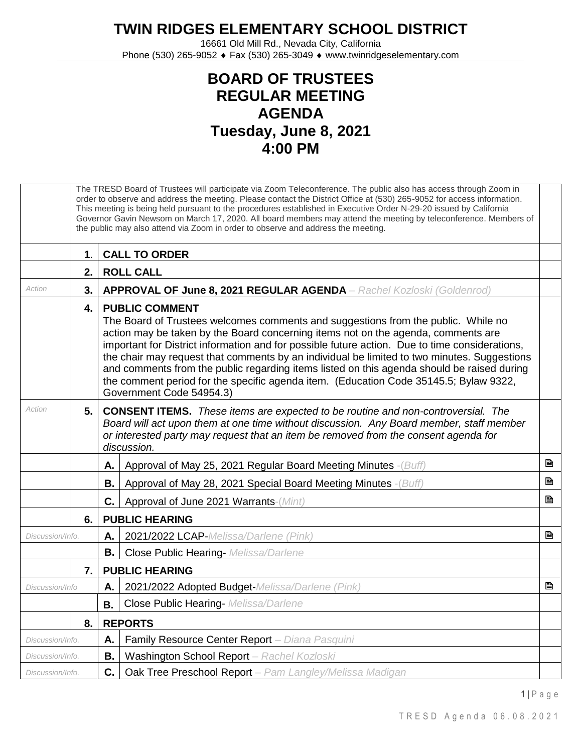## **TWIN RIDGES ELEMENTARY SCHOOL DISTRICT**

16661 Old Mill Rd., Nevada City, California Phone (530) 265-9052 ♦ Fax (530) 265-3049 ♦ www.twinridgeselementary.com

## **BOARD OF TRUSTEES REGULAR MEETING AGENDA Tuesday, June 8, 2021 4:00 PM**

|                  |    | The TRESD Board of Trustees will participate via Zoom Teleconference. The public also has access through Zoom in<br>order to observe and address the meeting. Please contact the District Office at (530) 265-9052 for access information.<br>This meeting is being held pursuant to the procedures established in Executive Order N-29-20 issued by California<br>Governor Gavin Newsom on March 17, 2020. All board members may attend the meeting by teleconference. Members of<br>the public may also attend via Zoom in order to observe and address the meeting.                                              |   |  |  |
|------------------|----|---------------------------------------------------------------------------------------------------------------------------------------------------------------------------------------------------------------------------------------------------------------------------------------------------------------------------------------------------------------------------------------------------------------------------------------------------------------------------------------------------------------------------------------------------------------------------------------------------------------------|---|--|--|
|                  | 1. | <b>CALL TO ORDER</b>                                                                                                                                                                                                                                                                                                                                                                                                                                                                                                                                                                                                |   |  |  |
|                  | 2. | <b>ROLL CALL</b>                                                                                                                                                                                                                                                                                                                                                                                                                                                                                                                                                                                                    |   |  |  |
| Action           | 3. | <b>APPROVAL OF June 8, 2021 REGULAR AGENDA</b> - Rachel Kozloski (Goldenrod)                                                                                                                                                                                                                                                                                                                                                                                                                                                                                                                                        |   |  |  |
|                  | 4. | <b>PUBLIC COMMENT</b><br>The Board of Trustees welcomes comments and suggestions from the public. While no<br>action may be taken by the Board concerning items not on the agenda, comments are<br>important for District information and for possible future action. Due to time considerations,<br>the chair may request that comments by an individual be limited to two minutes. Suggestions<br>and comments from the public regarding items listed on this agenda should be raised during<br>the comment period for the specific agenda item. (Education Code 35145.5; Bylaw 9322,<br>Government Code 54954.3) |   |  |  |
| Action           | 5. | <b>CONSENT ITEMS.</b> These items are expected to be routine and non-controversial. The<br>Board will act upon them at one time without discussion. Any Board member, staff member<br>or interested party may request that an item be removed from the consent agenda for<br>discussion.                                                                                                                                                                                                                                                                                                                            |   |  |  |
|                  |    | Approval of May 25, 2021 Regular Board Meeting Minutes - (Buff)<br>Α.                                                                                                                                                                                                                                                                                                                                                                                                                                                                                                                                               | B |  |  |
|                  |    | В.<br>Approval of May 28, 2021 Special Board Meeting Minutes -(Buff)                                                                                                                                                                                                                                                                                                                                                                                                                                                                                                                                                | B |  |  |
|                  |    | C.<br>Approval of June 2021 Warrants-(Mint)                                                                                                                                                                                                                                                                                                                                                                                                                                                                                                                                                                         | B |  |  |
|                  | 6. | <b>PUBLIC HEARING</b>                                                                                                                                                                                                                                                                                                                                                                                                                                                                                                                                                                                               |   |  |  |
| Discussion/Info. |    | 2021/2022 LCAP-Melissa/Darlene (Pink)<br>Α.                                                                                                                                                                                                                                                                                                                                                                                                                                                                                                                                                                         | ₿ |  |  |
|                  |    | В.<br><b>Close Public Hearing-</b> Melissa/Darlene                                                                                                                                                                                                                                                                                                                                                                                                                                                                                                                                                                  |   |  |  |
|                  | 7. | <b>PUBLIC HEARING</b>                                                                                                                                                                                                                                                                                                                                                                                                                                                                                                                                                                                               |   |  |  |
| Discussion/Info  |    | 2021/2022 Adopted Budget-Melissa/Darlene (Pink)<br>А.                                                                                                                                                                                                                                                                                                                                                                                                                                                                                                                                                               | B |  |  |
|                  |    | Close Public Hearing- Melissa/Darlene<br>B.                                                                                                                                                                                                                                                                                                                                                                                                                                                                                                                                                                         |   |  |  |
|                  | 8. | <b>REPORTS</b>                                                                                                                                                                                                                                                                                                                                                                                                                                                                                                                                                                                                      |   |  |  |
| Discussion/Info. |    | Family Resource Center Report - Diana Pasquini<br>А.                                                                                                                                                                                                                                                                                                                                                                                                                                                                                                                                                                |   |  |  |
| Discussion/Info. |    | Washington School Report - Rachel Kozloski<br>В.                                                                                                                                                                                                                                                                                                                                                                                                                                                                                                                                                                    |   |  |  |
| Discussion/Info. |    | C.<br>Oak Tree Preschool Report - Pam Langley/Melissa Madigan                                                                                                                                                                                                                                                                                                                                                                                                                                                                                                                                                       |   |  |  |